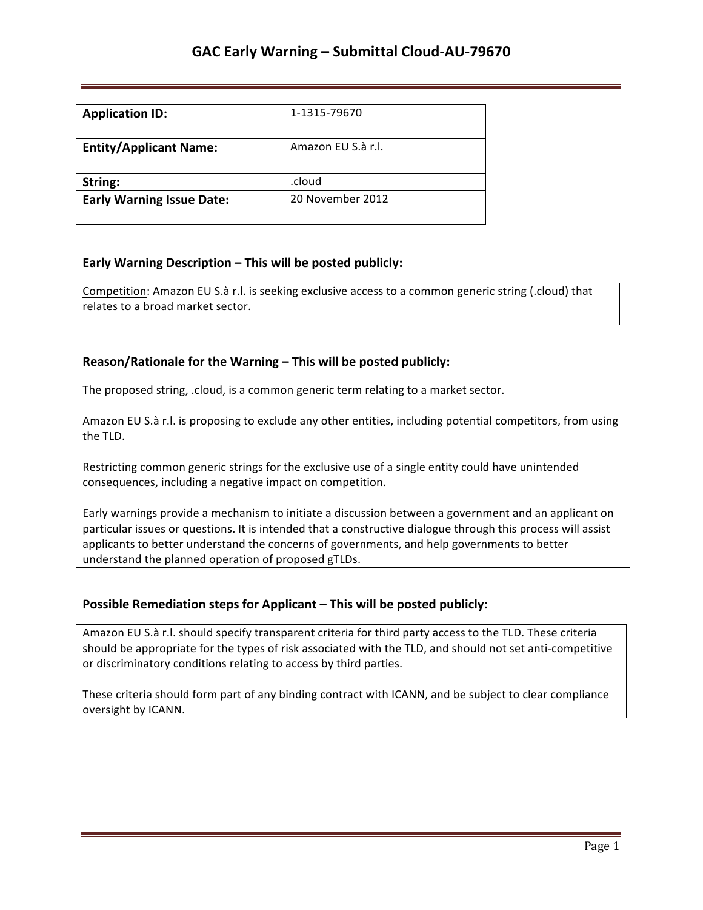| <b>Application ID:</b>           | 1-1315-79670       |
|----------------------------------|--------------------|
| <b>Entity/Applicant Name:</b>    | Amazon EU S.à r.l. |
| String:                          | .cloud             |
| <b>Early Warning Issue Date:</b> | 20 November 2012   |

## **Early Warning Description – This will be posted publicly:**

Competition: Amazon EU S.à r.l. is seeking exclusive access to a common generic string (.cloud) that relates to a broad market sector.

## **Reason/Rationale for the Warning – This will be posted publicly:**

The proposed string, .cloud, is a common generic term relating to a market sector.

Amazon EU S.à r.l. is proposing to exclude any other entities, including potential competitors, from using the TLD.

Restricting common generic strings for the exclusive use of a single entity could have unintended consequences, including a negative impact on competition.

Early warnings provide a mechanism to initiate a discussion between a government and an applicant on particular issues or questions. It is intended that a constructive dialogue through this process will assist applicants to better understand the concerns of governments, and help governments to better understand the planned operation of proposed gTLDs.

## **Possible Remediation steps for Applicant - This will be posted publicly:**

Amazon EU S.à r.l. should specify transparent criteria for third party access to the TLD. These criteria should be appropriate for the types of risk associated with the TLD, and should not set anti-competitive or discriminatory conditions relating to access by third parties.

These criteria should form part of any binding contract with ICANN, and be subject to clear compliance oversight by ICANN.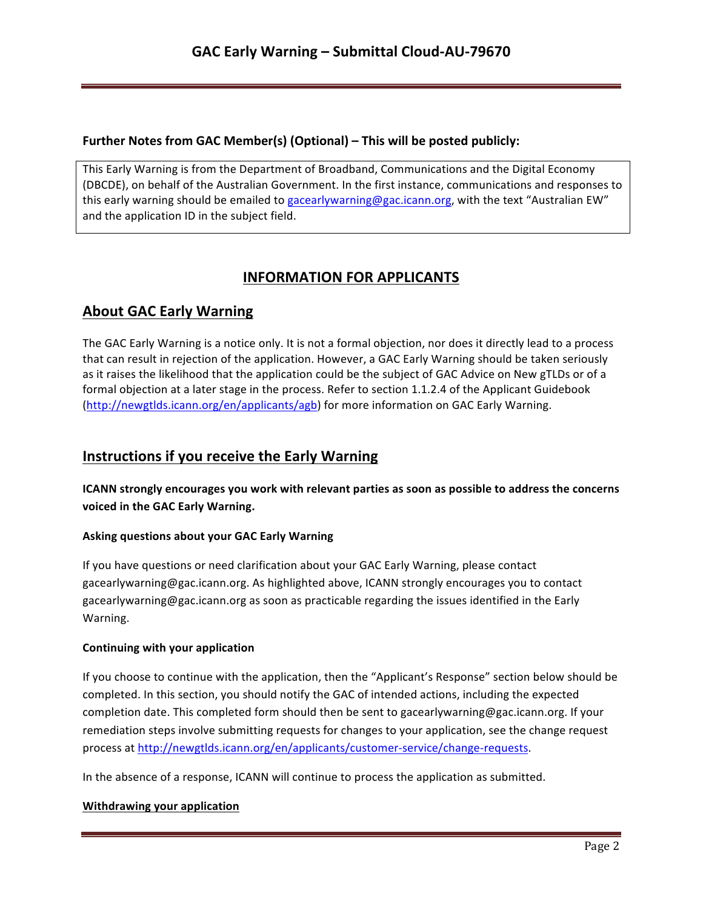## **Further Notes from GAC Member(s) (Optional) – This will be posted publicly:**

This Early Warning is from the Department of Broadband, Communications and the Digital Economy (DBCDE), on behalf of the Australian Government. In the first instance, communications and responses to this early warning should be emailed to gacearlywarning@gac.icann.org, with the text "Australian EW" and the application ID in the subject field.

# **INFORMATION FOR APPLICANTS**

# **About GAC Early Warning**

The GAC Early Warning is a notice only. It is not a formal objection, nor does it directly lead to a process that can result in rejection of the application. However, a GAC Early Warning should be taken seriously as it raises the likelihood that the application could be the subject of GAC Advice on New gTLDs or of a formal objection at a later stage in the process. Refer to section 1.1.2.4 of the Applicant Guidebook (http://newgtlds.icann.org/en/applicants/agb) for more information on GAC Early Warning.

# **Instructions if you receive the Early Warning**

**ICANN** strongly encourages you work with relevant parties as soon as possible to address the concerns voiced in the GAC Early Warning.

### **Asking questions about your GAC Early Warning**

If you have questions or need clarification about your GAC Early Warning, please contact gacearlywarning@gac.icann.org. As highlighted above, ICANN strongly encourages you to contact gacearlywarning@gac.icann.org as soon as practicable regarding the issues identified in the Early Warning. 

### **Continuing with your application**

If you choose to continue with the application, then the "Applicant's Response" section below should be completed. In this section, you should notify the GAC of intended actions, including the expected completion date. This completed form should then be sent to gacearlywarning@gac.icann.org. If your remediation steps involve submitting requests for changes to your application, see the change request process at http://newgtlds.icann.org/en/applicants/customer-service/change-requests.

In the absence of a response, ICANN will continue to process the application as submitted.

### **Withdrawing your application**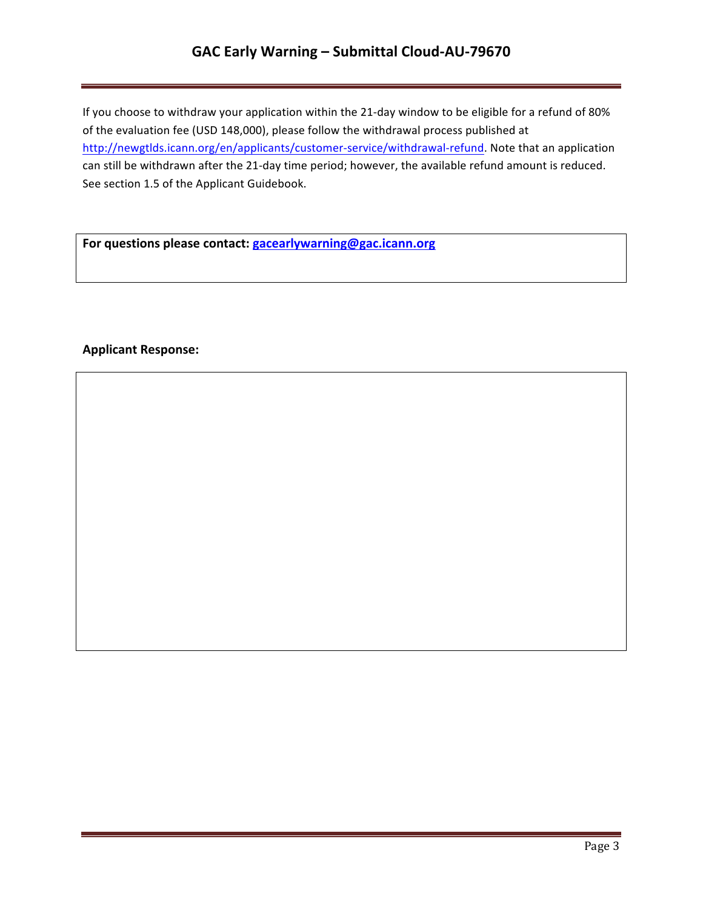# GAC Early Warning - Submittal Cloud-AU-79670

If you choose to withdraw your application within the 21-day window to be eligible for a refund of 80% of the evaluation fee (USD 148,000), please follow the withdrawal process published at http://newgtlds.icann.org/en/applicants/customer-service/withdrawal-refund. Note that an application can still be withdrawn after the 21-day time period; however, the available refund amount is reduced. See section 1.5 of the Applicant Guidebook.

For questions please contact: **gacearlywarning@gac.icann.org** 

### **Applicant Response:**